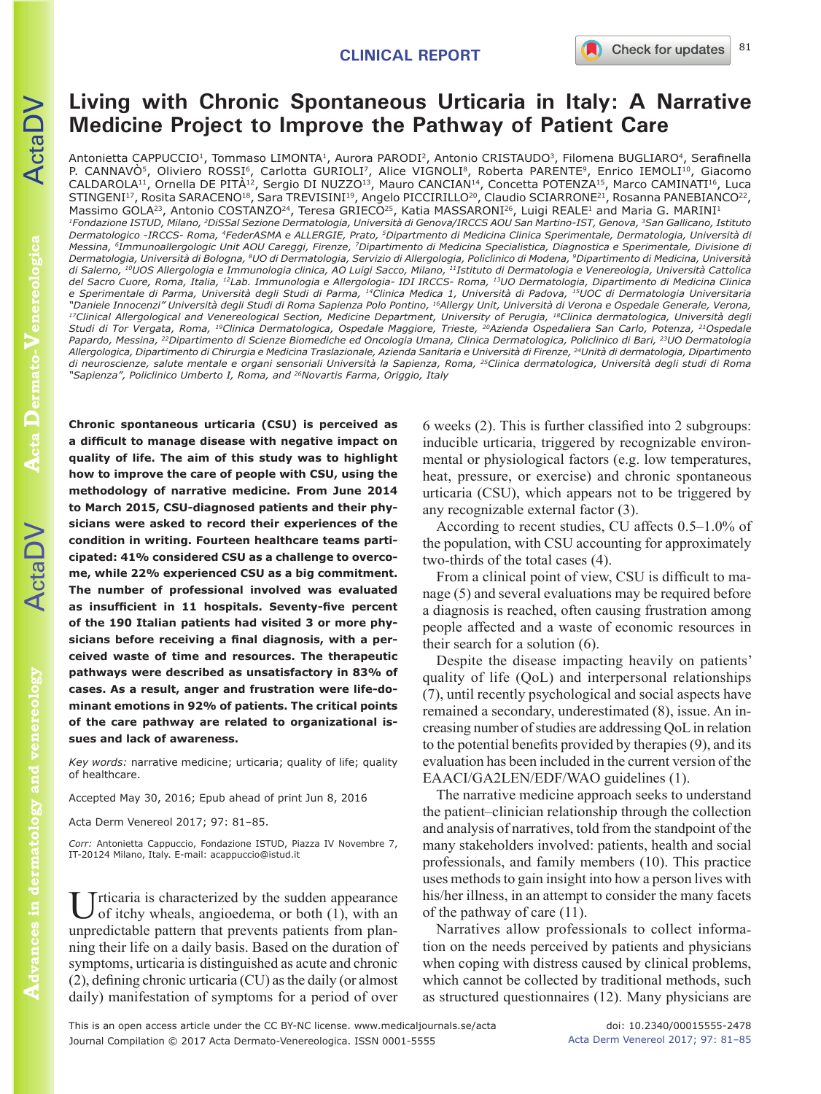81

# **Living with Chronic Spontaneous Urticaria in Italy: A Narrative Medicine Project to Improve the Pathway of Patient Care**

Antonietta CAPPUCCIO<sup>1</sup>, Tommaso LIMONTA<sup>1</sup>, Aurora PARODI<sup>2</sup>, Antonio CRISTAUDO<sup>3</sup>, Filomena BUGLIARO<sup>4</sup>, Serafinella P. CANNAVÒ<sup>5</sup>, Oliviero ROSSI<sup>6</sup>, Carlotta GURIOLI<sup>7</sup>, Alice VIGNOLI<sup>8</sup>, Roberta PARENTE<sup>9</sup>, Enrico IEMOLI<sup>10</sup>, Giacomo CALDAROLA<sup>11</sup>, Ornella DE PITÀ<sup>12</sup>, Sergio DI NUZZO<sup>13</sup>, Mauro CANCIAN<sup>14</sup>, Concetta POTENZA<sup>15</sup>, Marco CAMINATI<sup>16</sup>, Luca STINGENI<sup>17</sup>, Rosita SARACENO<sup>18</sup>, Sara TREVISINI<sup>19</sup>, Angelo PICCIRILLO<sup>20</sup>, Claudio SCIARRONE<sup>21</sup>, Rosanna PANEBIANCO<sup>22</sup>, Massimo GOLA<sup>23</sup>, Antonio COSTANZO<sup>24</sup>, Teresa GRIECO<sup>25</sup>, Katia MASSARONI<sup>26</sup>, Luigi REALE<sup>1</sup> and Maria G. MARINI<sup>1</sup> *1Fondazione ISTUD, Milano, 2DiSSal Sezione Dermatologia, Università di Genova/IRCCS AOU San Martino-IST, Genova, 3San Gallicano, Istituto Dermatologico -IRCCS- Roma, 4FederASMA e ALLERGIE, Prato, 5Dipartmento di Medicina Clinica Sperimentale, Dermatologia, Università di Messina, 6Immunoallergologic Unit AOU Careggi, Firenze, 7Dipartimento di Medicina Specialistica, Diagnostica e Sperimentale, Divisione di Dermatologia, Università di Bologna, 8UO di Dermatologia, Servizio di Allergologia, Policlinico di Modena, 9Dipartimento di Medicina, Università di Salerno, 10UOS Allergologia e Immunologia clinica, AO Luigi Sacco, Milano, 11Istituto di Dermatologia e Venereologia, Università Cattolica del Sacro Cuore, Roma, Italia, 12Lab. Immunologia e Allergologia- IDI IRCCS- Roma, 13UO Dermatologia, Dipartimento di Medicina Clinica e Sperimentale di Parma, Università degli Studi di Parma, 14Clinica Medica 1, Università di Padova, 15UOC di Dermatologia Universitaria*  <sup>17</sup>Clinical Allergological and Venereological Section, Medicine Department, University of Perugia, <sup>18</sup>Clinica dermatologica, Università degli *Studi di Tor Vergata, Roma, 19Clinica Dermatologica, Ospedale Maggiore, Trieste, 20Azienda Ospedaliera San Carlo, Potenza, 21Ospedale Papardo, Messina, 22Dipartimento di Scienze Biomediche ed Oncologia Umana, Clinica Dermatologica, Policlinico di Bari, 23UO Dermatologia Allergologica, Dipartimento di Chirurgia e Medicina Traslazionale, Azienda Sanitaria e Università di Firenze, 24Unità di dermatologia, Dipartimento di neuroscienze, salute mentale e organi sensoriali Università la Sapienza, Roma, 25Clinica dermatologica, Università degli studi di Roma "Sapienza", Policlinico Umberto I, Roma, and 26Novartis Farma, Origgio, Italy*

**Chronic spontaneous urticaria (CSU) is perceived as a difficult to manage disease with negative impact on quality of life. The aim of this study was to highlight how to improve the care of people with CSU, using the methodology of narrative medicine. From June 2014 to March 2015, CSU-diagnosed patients and their physicians were asked to record their experiences of the condition in writing. Fourteen healthcare teams participated: 41% considered CSU as a challenge to overcome, while 22% experienced CSU as a big commitment. The number of professional involved was evaluated as insufficient in 11 hospitals. Seventy-five percent of the 190 Italian patients had visited 3 or more physicians before receiving a final diagnosis, with a perceived waste of time and resources. The therapeutic pathways were described as unsatisfactory in 83% of cases. As a result, anger and frustration were life-dominant emotions in 92% of patients. The critical points of the care pathway are related to organizational issues and lack of awareness.**

*Key words:* narrative medicine; urticaria; quality of life; quality of healthcare.

Accepted May 30, 2016; Epub ahead of print Jun 8, 2016

Acta Derm Venereol 2017; 97: 81–85.

*Corr:* Antonietta Cappuccio, Fondazione ISTUD, Piazza IV Novembre 7, IT-20124 Milano, Italy. E-mail: acappuccio@istud.it

Urticaria is characterized by the sudden appearance of itchy wheals, angioedema, or both (1), with an unpredictable pattern that prevents patients from planning their life on a daily basis. Based on the duration of symptoms, urticaria is distinguished as acute and chronic (2), defining chronic urticaria (CU) as the daily (or almost daily) manifestation of symptoms for a period of over

6 weeks (2). This is further classified into 2 subgroups: inducible urticaria, triggered by recognizable environmental or physiological factors (e.g. low temperatures, heat, pressure, or exercise) and chronic spontaneous urticaria (CSU), which appears not to be triggered by any recognizable external factor (3).

According to recent studies, CU affects 0.5–1.0% of the population, with CSU accounting for approximately two-thirds of the total cases (4).

From a clinical point of view, CSU is difficult to manage (5) and several evaluations may be required before a diagnosis is reached, often causing frustration among people affected and a waste of economic resources in their search for a solution (6).

Despite the disease impacting heavily on patients' quality of life (QoL) and interpersonal relationships (7), until recently psychological and social aspects have remained a secondary, underestimated (8), issue. An increasing number of studies are addressing QoL in relation to the potential benefits provided by therapies (9), and its evaluation has been included in the current version of the EAACI/GA2LEN/EDF/WAO guidelines (1).

The narrative medicine approach seeks to understand the patient–clinician relationship through the collection and analysis of narratives, told from the standpoint of the many stakeholders involved: patients, health and social professionals, and family members (10). This practice uses methods to gain insight into how a person lives with his/her illness, in an attempt to consider the many facets of the pathway of care (11).

Narratives allow professionals to collect information on the needs perceived by patients and physicians when coping with distress caused by clinical problems, which cannot be collected by traditional methods, such as structured questionnaires (12). Many physicians are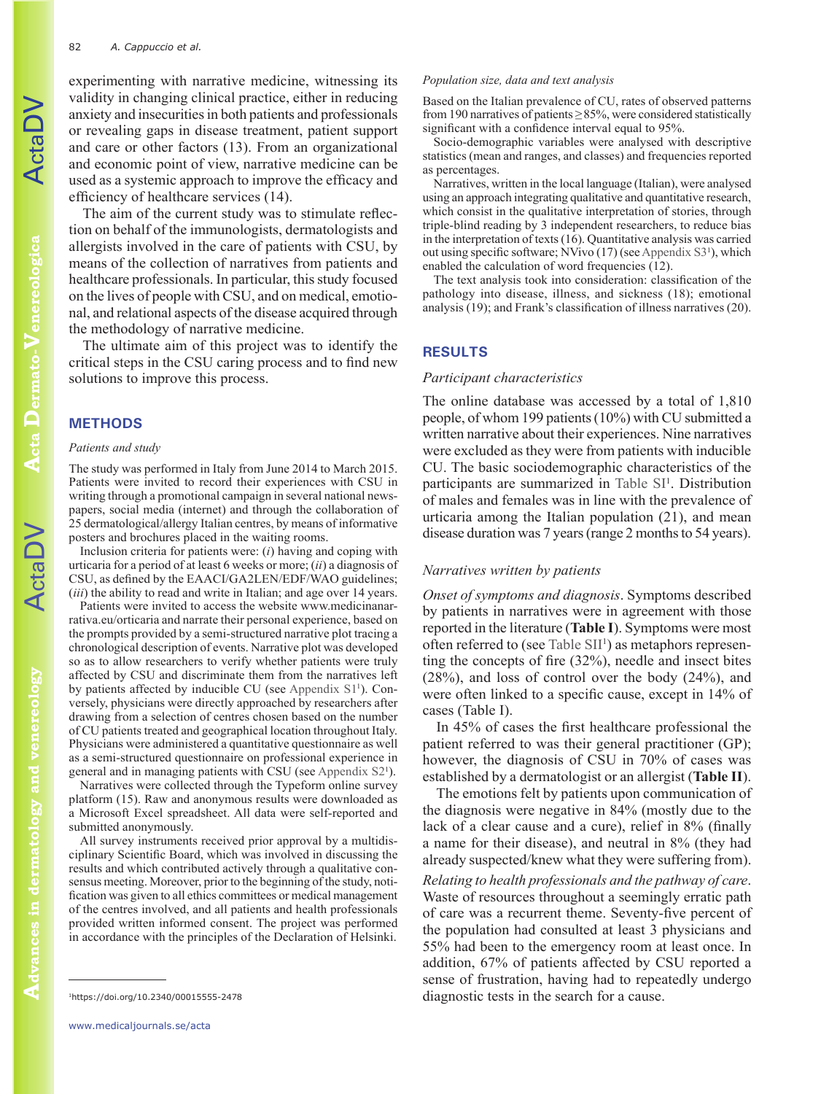experimenting with narrative medicine, witnessing its validity in changing clinical practice, either in reducing anxiety and insecurities in both patients and professionals or revealing gaps in disease treatment, patient support and care or other factors (13). From an organizational and economic point of view, narrative medicine can be used as a systemic approach to improve the efficacy and efficiency of healthcare services (14).

The aim of the current study was to stimulate reflection on behalf of the immunologists, dermatologists and allergists involved in the care of patients with CSU, by means of the collection of narratives from patients and healthcare professionals. In particular, this study focused on the lives of people with CSU, and on medical, emotional, and relational aspects of the disease acquired through the methodology of narrative medicine.

The ultimate aim of this project was to identify the critical steps in the CSU caring process and to find new solutions to improve this process.

## **METHODS**

#### *Patients and study*

The study was performed in Italy from June 2014 to March 2015. Patients were invited to record their experiences with CSU in writing through a promotional campaign in several national newspapers, social media (internet) and through the collaboration of 25 dermatological/allergy Italian centres, by means of informative posters and brochures placed in the waiting rooms.

Inclusion criteria for patients were: (*i*) having and coping with urticaria for a period of at least 6 weeks or more; (*ii*) a diagnosis of CSU, as defined by the EAACI/GA2LEN/EDF/WAO guidelines; (*iii*) the ability to read and write in Italian; and age over 14 years.

Patients were invited to access the website www.medicinanarrativa.eu/orticaria and narrate their personal experience, based on the prompts provided by a semi-structured narrative plot tracing a chronological description of events. Narrative plot was developed so as to allow researchers to verify whether patients were truly affected by CSU and discriminate them from the narratives left by patients affected by inducible CU (see [Appendix S1](https://doi.org/10.2340/00015555-2478)<sup>1</sup>). Conversely, physicians were directly approached by researchers after drawing from a selection of centres chosen based on the number of CU patients treated and geographical location throughout Italy. Physicians were administered a quantitative questionnaire as well as a semi-structured questionnaire on professional experience in general and in managing patients with CSU (see [Appendix S2](https://doi.org/10.2340/00015555-2478)<sup>1</sup> ).

Narratives were collected through the Typeform online survey platform (15). Raw and anonymous results were downloaded as a Microsoft Excel spreadsheet. All data were self-reported and submitted anonymously.

All survey instruments received prior approval by a multidisciplinary Scientific Board, which was involved in discussing the results and which contributed actively through a qualitative consensus meeting. Moreover, prior to the beginning of the study, notification was given to all ethics committees or medical management of the centres involved, and all patients and health professionals provided written informed consent. The project was performed in accordance with the principles of the Declaration of Helsinki.

#### *Population size, data and text analysis*

Based on the Italian prevalence of CU, rates of observed patterns from 190 narratives of patients  $\geq$ 85%, were considered statistically significant with a confidence interval equal to 95%.

Socio-demographic variables were analysed with descriptive statistics (mean and ranges, and classes) and frequencies reported as percentages.

Narratives, written in the local language (Italian), were analysed using an approach integrating qualitative and quantitative research, which consist in the qualitative interpretation of stories, through triple-blind reading by 3 independent researchers, to reduce bias in the interpretation of texts (16). Quantitative analysis was carried out using specific software; NVivo (17) (see [Appendix S3](https://doi.org/10.2340/00015555-2478)<sup>1</sup> ), which enabled the calculation of word frequencies (12).

The text analysis took into consideration: classification of the pathology into disease, illness, and sickness (18); emotional analysis (19); and Frank's classification of illness narratives (20).

# **RESULTS**

### *Participant characteristics*

The online database was accessed by a total of 1,810 people, of whom 199 patients (10%) with CU submitted a written narrative about their experiences. Nine narratives were excluded as they were from patients with inducible CU. The basic sociodemographic characteristics of the participants are summarized in [Table SI](https://doi.org/10.2340/00015555-2478)<sup>1</sup>. Distribution of males and females was in line with the prevalence of urticaria among the Italian population (21), and mean disease duration was 7 years (range 2 months to 54 years).

## *Narratives written by patients*

*Onset of symptoms and diagnosis*. Symptoms described by patients in narratives were in agreement with those reported in the literature (**Table I**). Symptoms were most often referred to (see [Table SII](https://doi.org/10.2340/00015555-2478)<sup>1</sup>) as metaphors representing the concepts of fire (32%), needle and insect bites (28%), and loss of control over the body (24%), and were often linked to a specific cause, except in 14% of cases (Table I).

In 45% of cases the first healthcare professional the patient referred to was their general practitioner (GP); however, the diagnosis of CSU in 70% of cases was established by a dermatologist or an allergist (**Table II**).

The emotions felt by patients upon communication of the diagnosis were negative in 84% (mostly due to the lack of a clear cause and a cure), relief in 8% (finally a name for their disease), and neutral in 8% (they had already suspected/knew what they were suffering from).

*Relating to health professionals and the pathway of care*. Waste of resources throughout a seemingly erratic path of care was a recurrent theme. Seventy-five percent of the population had consulted at least 3 physicians and 55% had been to the emergency room at least once. In addition, 67% of patients affected by CSU reported a sense of frustration, having had to repeatedly undergo diagnostic tests in the search for a cause. 1https://doi.org/10.2340/00015555-2478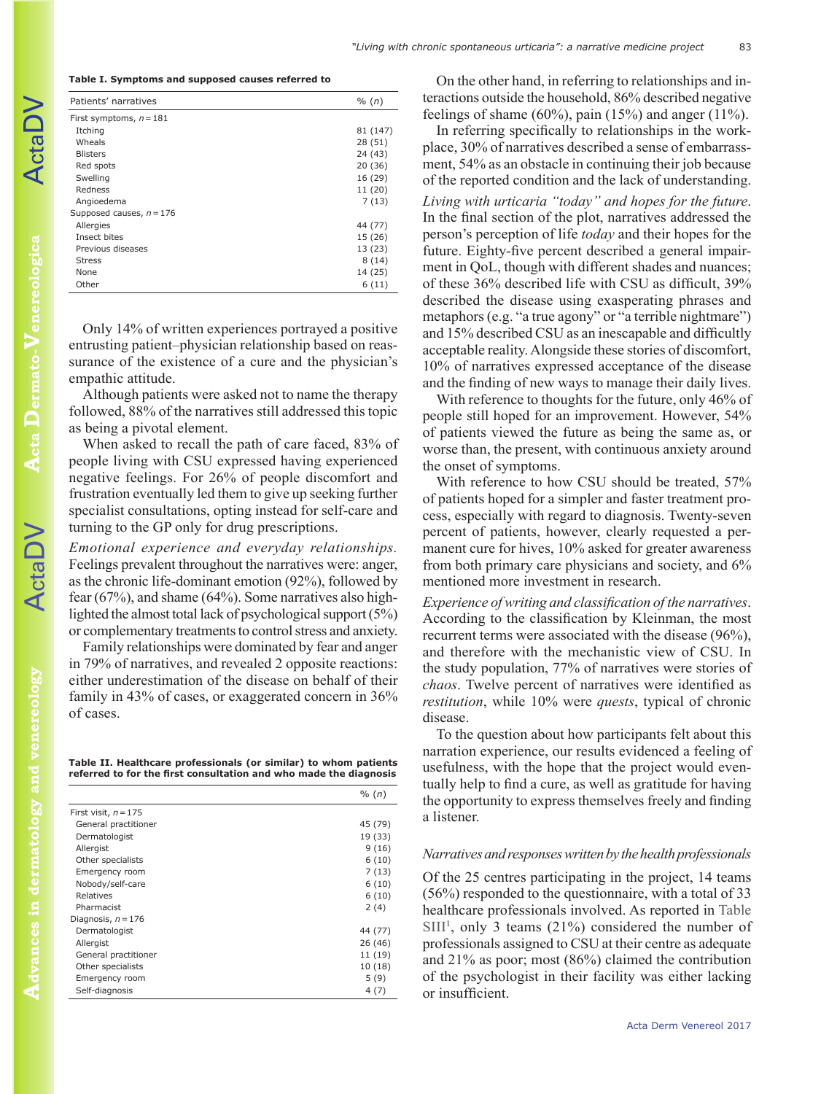#### **Table I. Symptoms and supposed causes referred to**

| Patients' narratives       | % (n)    |
|----------------------------|----------|
| First symptoms, $n = 181$  |          |
| Itching                    | 81 (147) |
| Wheals                     | 28 (51)  |
| <b>Blisters</b>            | 24 (43)  |
| Red spots                  | 20(36)   |
| Swelling                   | 16 (29)  |
| Redness                    | 11 (20)  |
| Angioedema                 | 7(13)    |
| Supposed causes, $n = 176$ |          |
| Allergies                  | 44 (77)  |
| Insect bites               | 15 (26)  |
| Previous diseases          | 13 (23)  |
| <b>Stress</b>              | 8(14)    |
| <b>None</b>                | 14 (25)  |
| Other                      | 6(11)    |

Only 14% of written experiences portrayed a positive entrusting patient–physician relationship based on reassurance of the existence of a cure and the physician's empathic attitude.

Although patients were asked not to name the therapy followed, 88% of the narratives still addressed this topic as being a pivotal element.

When asked to recall the path of care faced, 83% of people living with CSU expressed having experienced negative feelings. For 26% of people discomfort and frustration eventually led them to give up seeking further specialist consultations, opting instead for self-care and turning to the GP only for drug prescriptions.

*Emotional experience and everyday relationships.* Feelings prevalent throughout the narratives were: anger, as the chronic life-dominant emotion (92%), followed by fear (67%), and shame (64%). Some narratives also highlighted the almost total lack of psychological support (5%) or complementary treatments to control stress and anxiety.

Family relationships were dominated by fear and anger in 79% of narratives, and revealed 2 opposite reactions: either underestimation of the disease on behalf of their family in 43% of cases, or exaggerated concern in 36% of cases.

**Table II. Healthcare professionals (or similar) to whom patients referred to for the first consultation and who made the diagnosis**

|                        | % (n)   |
|------------------------|---------|
| First visit, $n = 175$ |         |
| General practitioner   | 45 (79) |
| Dermatologist          | 19 (33) |
| Allergist              | 9(16)   |
| Other specialists      | 6(10)   |
| Emergency room         | 7(13)   |
| Nobody/self-care       | 6(10)   |
| Relatives              | 6(10)   |
| Pharmacist             | 2(4)    |
| Diagnosis, $n = 176$   |         |
| Dermatologist          | 44 (77) |
| Allergist              | 26 (46) |
| General practitioner   | 11 (19) |
| Other specialists      | 10(18)  |
| Emergency room         | 5(9)    |
| Self-diagnosis         | 4(7)    |

On the other hand, in referring to relationships and interactions outside the household, 86% described negative feelings of shame (60%), pain (15%) and anger (11%).

In referring specifically to relationships in the workplace, 30% of narratives described a sense of embarrassment, 54% as an obstacle in continuing their job because of the reported condition and the lack of understanding. *Living with urticaria "today" and hopes for the future*. In the final section of the plot, narratives addressed the person's perception of life *today* and their hopes for the future. Eighty-five percent described a general impairment in QoL, though with different shades and nuances; of these 36% described life with CSU as difficult, 39% described the disease using exasperating phrases and metaphors (e.g. "a true agony" or "a terrible nightmare") and 15% described CSU as an inescapable and difficultly acceptable reality. Alongside these stories of discomfort, 10% of narratives expressed acceptance of the disease and the finding of new ways to manage their daily lives.

With reference to thoughts for the future, only 46% of people still hoped for an improvement. However, 54% of patients viewed the future as being the same as, or worse than, the present, with continuous anxiety around the onset of symptoms.

With reference to how CSU should be treated, 57% of patients hoped for a simpler and faster treatment process, especially with regard to diagnosis. Twenty-seven percent of patients, however, clearly requested a permanent cure for hives, 10% asked for greater awareness from both primary care physicians and society, and 6% mentioned more investment in research.

*Experience of writing and classification of the narratives*. According to the classification by Kleinman, the most recurrent terms were associated with the disease (96%), and therefore with the mechanistic view of CSU. In the study population, 77% of narratives were stories of *chaos*. Twelve percent of narratives were identified as *restitution*, while 10% were *quests*, typical of chronic disease.

To the question about how participants felt about this narration experience, our results evidenced a feeling of usefulness, with the hope that the project would eventually help to find a cure, as well as gratitude for having the opportunity to express themselves freely and finding a listener.

## *Narratives and responses written by the health professionals*

Of the 25 centres participating in the project, 14 teams (56%) responded to the questionnaire, with a total of 33 healthcare professionals involved. As reported in [Table](https://doi.org/10.2340/00015555-2478)  $SIII<sup>1</sup>$  $SIII<sup>1</sup>$ , only 3 teams (21%) considered the number of professionals assigned to CSU at their centre as adequate and 21% as poor; most (86%) claimed the contribution of the psychologist in their facility was either lacking or insufficient.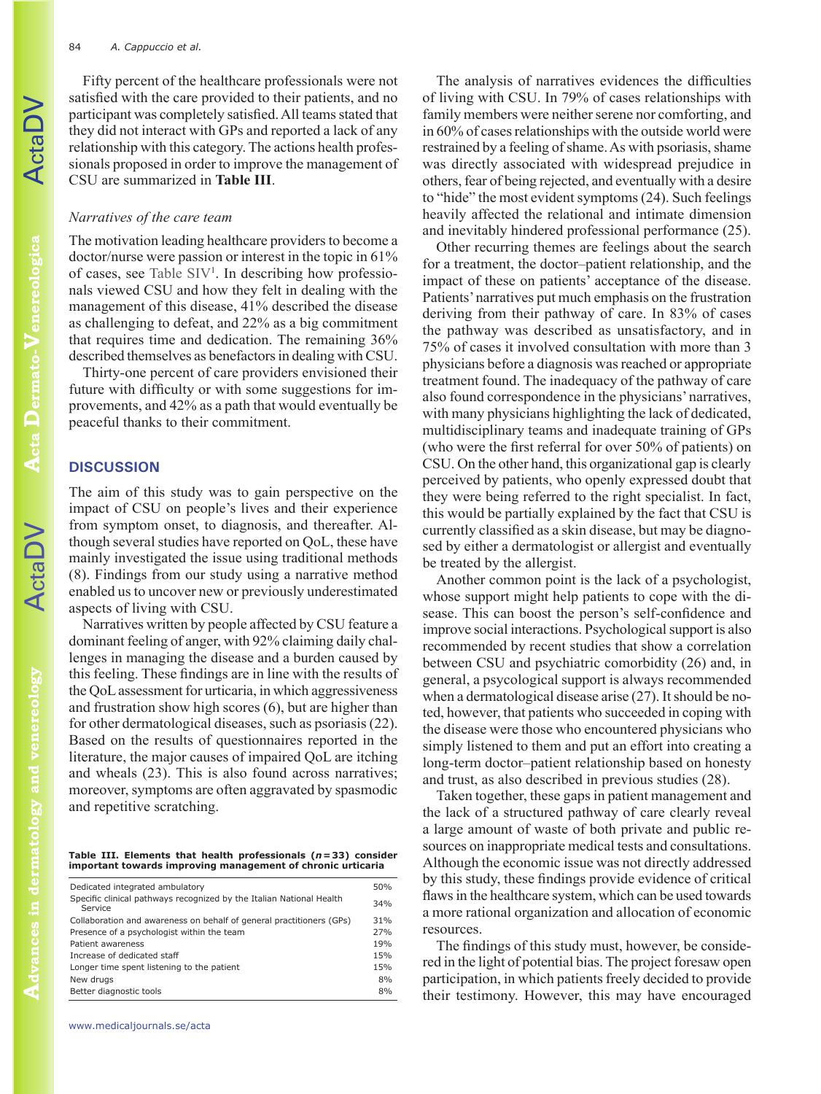ActaDV

Fifty percent of the healthcare professionals were not satisfied with the care provided to their patients, and no participant was completely satisfied. All teams stated that they did not interact with GPs and reported a lack of any relationship with this category. The actions health professionals proposed in order to improve the management of CSU are summarized in **Table III**.

# *Narratives of the care team*

The motivation leading healthcare providers to become a doctor/nurse were passion or interest in the topic in 61% of cases, see [Table SI](https://doi.org/10.2340/00015555-2478)V<sup>1</sup>. In describing how professionals viewed CSU and how they felt in dealing with the management of this disease, 41% described the disease as challenging to defeat, and 22% as a big commitment that requires time and dedication. The remaining 36% described themselves as benefactors in dealing with CSU.

Thirty-one percent of care providers envisioned their future with difficulty or with some suggestions for improvements, and 42% as a path that would eventually be peaceful thanks to their commitment.

# **DISCUSSION**

The aim of this study was to gain perspective on the impact of CSU on people's lives and their experience from symptom onset, to diagnosis, and thereafter. Although several studies have reported on QoL, these have mainly investigated the issue using traditional methods (8). Findings from our study using a narrative method enabled us to uncover new or previously underestimated aspects of living with CSU.

Narratives written by people affected by CSU feature a dominant feeling of anger, with 92% claiming daily challenges in managing the disease and a burden caused by this feeling. These findings are in line with the results of the QoL assessment for urticaria, in which aggressiveness and frustration show high scores (6), but are higher than for other dermatological diseases, such as psoriasis (22). Based on the results of questionnaires reported in the literature, the major causes of impaired QoL are itching and wheals (23). This is also found across narratives; moreover, symptoms are often aggravated by spasmodic and repetitive scratching.

**Table III. Elements that health professionals (***n***=33) consider important towards improving management of chronic urticaria**

| Dedicated integrated ambulatory<br>Specific clinical pathways recognized by the Italian National Health<br>Service<br>Collaboration and awareness on behalf of general practitioners (GPs)<br>Presence of a psychologist within the team<br>Patient awareness<br>Increase of dedicated staff<br>Longer time spent listening to the patient<br>New drugs<br>Better diagnostic tools |     |
|------------------------------------------------------------------------------------------------------------------------------------------------------------------------------------------------------------------------------------------------------------------------------------------------------------------------------------------------------------------------------------|-----|
|                                                                                                                                                                                                                                                                                                                                                                                    | 50% |
|                                                                                                                                                                                                                                                                                                                                                                                    | 34% |
|                                                                                                                                                                                                                                                                                                                                                                                    | 31% |
|                                                                                                                                                                                                                                                                                                                                                                                    | 27% |
|                                                                                                                                                                                                                                                                                                                                                                                    | 19% |
|                                                                                                                                                                                                                                                                                                                                                                                    | 15% |
|                                                                                                                                                                                                                                                                                                                                                                                    | 15% |
|                                                                                                                                                                                                                                                                                                                                                                                    | 8%  |
|                                                                                                                                                                                                                                                                                                                                                                                    | 8%  |

www.medicaljournals.se/acta

The analysis of narratives evidences the difficulties of living with CSU. In 79% of cases relationships with family members were neither serene nor comforting, and in 60% of cases relationships with the outside world were restrained by a feeling of shame. As with psoriasis, shame was directly associated with widespread prejudice in others, fear of being rejected, and eventually with a desire to "hide" the most evident symptoms (24). Such feelings heavily affected the relational and intimate dimension and inevitably hindered professional performance (25).

Other recurring themes are feelings about the search for a treatment, the doctor–patient relationship, and the impact of these on patients' acceptance of the disease. Patients' narratives put much emphasis on the frustration deriving from their pathway of care. In 83% of cases the pathway was described as unsatisfactory, and in 75% of cases it involved consultation with more than 3 physicians before a diagnosis was reached or appropriate treatment found. The inadequacy of the pathway of care also found correspondence in the physicians' narratives, with many physicians highlighting the lack of dedicated, multidisciplinary teams and inadequate training of GPs (who were the first referral for over 50% of patients) on CSU. On the other hand, this organizational gap is clearly perceived by patients, who openly expressed doubt that they were being referred to the right specialist. In fact, this would be partially explained by the fact that CSU is currently classified as a skin disease, but may be diagnosed by either a dermatologist or allergist and eventually be treated by the allergist.

Another common point is the lack of a psychologist, whose support might help patients to cope with the disease. This can boost the person's self-confidence and improve social interactions. Psychological support is also recommended by recent studies that show a correlation between CSU and psychiatric comorbidity (26) and, in general, a psycological support is always recommended when a dermatological disease arise (27). It should be noted, however, that patients who succeeded in coping with the disease were those who encountered physicians who simply listened to them and put an effort into creating a long-term doctor–patient relationship based on honesty and trust, as also described in previous studies (28).

Taken together, these gaps in patient management and the lack of a structured pathway of care clearly reveal a large amount of waste of both private and public resources on inappropriate medical tests and consultations. Although the economic issue was not directly addressed by this study, these findings provide evidence of critical flaws in the healthcare system, which can be used towards a more rational organization and allocation of economic resources.

The findings of this study must, however, be considered in the light of potential bias. The project foresaw open participation, in which patients freely decided to provide their testimony. However, this may have encouraged